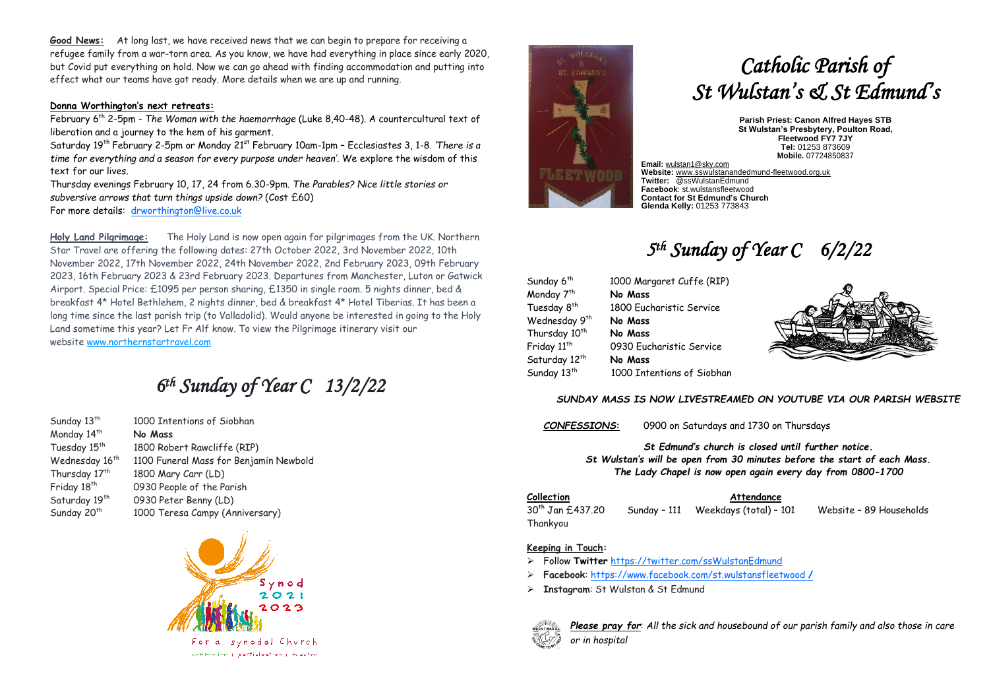**Good News:** At long last, we have received news that we can begin to prepare for receiving a refugee family from a war-torn area. As you know, we have had everything in place since early 2020, but Covid put everything on hold. Now we can go ahead with finding accommodation and putting into effect what our teams have got ready. More details when we are up and running.

#### **Donna Worthington's next retreats:**

February 6th 2-5pm - *The Woman with the haemorrhage* (Luke 8,40-48). A countercultural text of liberation and a journey to the hem of his garment.

Saturday 19th February 2-5pm or Monday 21st February 10am-1pm – Ecclesiastes 3, 1-8. *'There is a time for everything and a season for every purpose under heaven'*. We explore the wisdom of this text for our lives.

Thursday evenings February 10, 17, 24 from 6.30-9pm. *The Parables? Nice little stories or subversive arrows that turn things upside down?* (Cost £60) For more details: [drworthington@live.co.uk](mailto:drworthington@live.co.uk)

**Holy Land Pilgrimage:** The Holy Land is now open again for pilgrimages from the UK. Northern Star Travel are offering the following dates: 27th October 2022, 3rd November 2022, 10th November 2022, 17th November 2022, 24th November 2022, 2nd February 2023, 09th February 2023, 16th February 2023 & 23rd February 2023. Departures from Manchester, Luton or Gatwick Airport. Special Price: £1095 per person sharing, £1350 in single room. 5 nights dinner, bed & breakfast 4\* Hotel Bethlehem, 2 nights dinner, bed & breakfast 4\* Hotel Tiberias. It has been a long time since the last parish trip (to Valladolid). Would anyone be interested in going to the Holy Land sometime this year? Let Fr Alf know. To view the Pilgrimage itinerary visit our website [www.northernstartravel.com](https://3noes.r.a.d.sendibm1.com/mk/cl/f/iEVNwjKaWTditS4xPmMyxMJzU6Kbkjz9jdyyYTxA1R9pE-7eqoLsJxqhCNhq4W16KJ98CbA0fcuFlnsvaKTOTi52J3-WMv2k5Hd1oQd0AVfj3NX3ekLSe5lIYi94RgdSggH0cuv62ZjjWV1SdAjMO5BELdsRZerpoycq2YiobWNg5tWaOoqBlU4qGJ13I-s1_I0DkitlEMWY9xihYnlnRX_vUiZF9cdD8919GA)

## *6 th Sunday of Year C 13/2/22*

Monday 14<sup>th</sup> **No Mass** Sunday 20<sup>th</sup>

Sunday 13<sup>th</sup> 1000 Intentions of Siobhan Tuesday 15<sup>th</sup> 1800 Robert Rawcliffe (RIP) Wednesday 16<sup>th</sup> 1100 Funeral Mass for Benjamin Newbold Thursday 17<sup>th</sup> 1800 Mary Carr (LD) Friday 18<sup>th</sup> 0930 People of the Parish Saturday 19<sup>th</sup> 0930 Peter Benny (LD) 1000 Teresa Campy (Anniversary)



compeniency participation y in salon



# *Catholic Parish of St Wulstan's & St Edmund's*

**Parish Priest: Canon Alfred Hayes STB St Wulstan's Presbytery, Poulton Road, Fleetwood FY7 7JY Tel:** 01253 873609 **Mobile.** 07724850837

**Email:** [wulstan1@sky.com](mailto:wulstan1@sky.com) **Website:** [www.sswulstanandedmund-fleetwood.org.uk](http://www.sswulstanandedmund-fleetwood.org.uk/) **Twitter:** @ssWulstanEdmund **Facebook**: st.wulstansfleetwood **Contact for St Edmund's Church Glenda Kelly:** 01253 773843

### *5 th Sunday of Year C 6/2/22*

| Sunday 6 <sup>th</sup>    | 1000 Margaret Cuffe (RIP)  |  |
|---------------------------|----------------------------|--|
| Monday 7 <sup>th</sup>    | No Mass                    |  |
| Tuesday 8 <sup>th</sup>   | 1800 Eucharistic Service   |  |
| Wednesday 9 <sup>th</sup> | No Mass                    |  |
| Thursday 10 <sup>th</sup> | No Mass                    |  |
| Friday 11 <sup>th</sup>   | 0930 Eucharistic Service   |  |
| Saturday 12 <sup>th</sup> | No Mass                    |  |
| Sunday 13 <sup>th</sup>   | 1000 Intentions of Siobhan |  |



#### *SUNDAY MASS IS NOW LIVESTREAMED ON YOUTUBE VIA OUR PARISH WEBSITE*

*CONFESSIONS***:** 0900 on Saturdays and 1730 on Thursdays

*St Edmund's church is closed until further notice. St Wulstan's will be open from 30 minutes before the start of each Mass. The Lady Chapel is now open again every day from 0800-1700*

#### **Collection Attendance**

30th Jan £437.20 Sunday – 111 Weekdays (total) – 101 Website – 89 Households Thankyou

#### **Keeping in Touch:**

- ➢ Follow **Twitter** <https://twitter.com/ssWulstanEdmund>
- ➢ **Facebook**: https://www.facebook.com/st.wulstansfleetwood **/**
- ➢ **Instagram**: St Wulstan & St Edmund



*Please pray for*: *All the sick and housebound of our parish family and also those in care or in hospital*